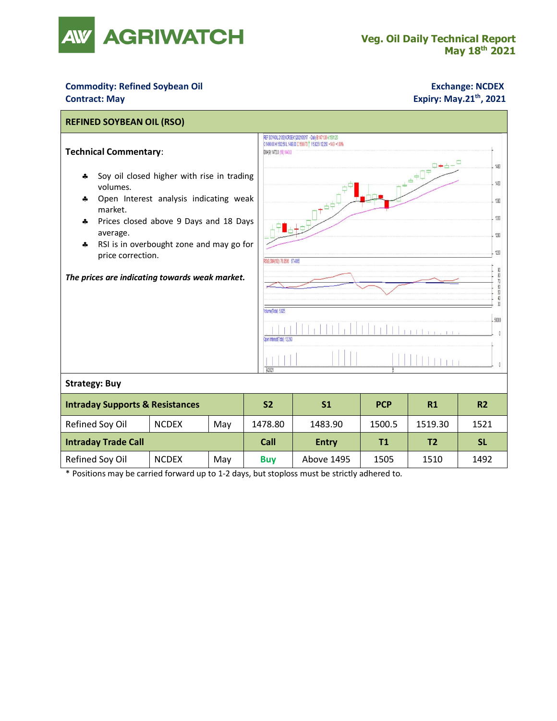

## **Commodity: Refined Soybean Oil <b>Exchange: NCDEX Contract: May**

## **Expiry: May.21<sup>th</sup>, 2021**

| <b>REFINED SOYBEAN OIL (RSO)</b>                                                                            |              |     |           |                                                                                                                                                                                |                                                                                                                                                                                                                                                                                                                                                                                        |            |                |                |  |  |
|-------------------------------------------------------------------------------------------------------------|--------------|-----|-----------|--------------------------------------------------------------------------------------------------------------------------------------------------------------------------------|----------------------------------------------------------------------------------------------------------------------------------------------------------------------------------------------------------------------------------------------------------------------------------------------------------------------------------------------------------------------------------------|------------|----------------|----------------|--|--|
| <b>Technical Commentary:</b>                                                                                |              |     |           | REF SOYAOIL 2105/NCRSEK1 2021/05/17 - Daily B:1471.00 A:1501.20<br>O 1490.00 H 1502.50 L 1489.00 C 1500.70 T V 5,825 I 12,260 +14.9 +1.00%<br>EMA(9) 1473.0 (18) 1443.0<br>140 |                                                                                                                                                                                                                                                                                                                                                                                        |            |                |                |  |  |
| Soy oil closed higher with rise in trading<br>4<br>volumes.<br>Open Interest analysis indicating weak<br>4. |              |     |           |                                                                                                                                                                                | $\triangleq \frac{1}{2} \sum_{i=1}^{n} \frac{1}{i} \sum_{i=1}^{n} \frac{1}{i} \sum_{i=1}^{n} \frac{1}{i} \sum_{i=1}^{n} \frac{1}{i} \sum_{i=1}^{n} \frac{1}{i} \sum_{i=1}^{n} \frac{1}{i} \sum_{i=1}^{n} \frac{1}{i} \sum_{i=1}^{n} \frac{1}{i} \sum_{i=1}^{n} \frac{1}{i} \sum_{i=1}^{n} \frac{1}{i} \sum_{i=1}^{n} \frac{1}{i} \sum_{i=1}^{n} \frac{1}{i} \sum_{i=1$<br>1430<br>1380 |            |                |                |  |  |
|                                                                                                             |              |     |           |                                                                                                                                                                                |                                                                                                                                                                                                                                                                                                                                                                                        |            |                |                |  |  |
| RSI is in overbought zone and may go for<br>4<br>price correction.                                          |              |     |           | 1230<br>RSI(9, SM4(18)) 76.8506 67.4065                                                                                                                                        |                                                                                                                                                                                                                                                                                                                                                                                        |            |                |                |  |  |
| The prices are indicating towards weak market.                                                              |              |     |           | 90 80 70 50                                                                                                                                                                    |                                                                                                                                                                                                                                                                                                                                                                                        |            |                |                |  |  |
|                                                                                                             |              |     |           | 40<br>Volume(Total) 5,825                                                                                                                                                      |                                                                                                                                                                                                                                                                                                                                                                                        |            |                |                |  |  |
|                                                                                                             |              |     |           | 50000<br>Open InterestiTotall 12.260                                                                                                                                           |                                                                                                                                                                                                                                                                                                                                                                                        |            |                |                |  |  |
|                                                                                                             |              |     |           | 4/2021                                                                                                                                                                         |                                                                                                                                                                                                                                                                                                                                                                                        |            |                |                |  |  |
| <b>Strategy: Buy</b>                                                                                        |              |     |           |                                                                                                                                                                                |                                                                                                                                                                                                                                                                                                                                                                                        |            |                |                |  |  |
| <b>Intraday Supports &amp; Resistances</b>                                                                  |              |     | <b>S2</b> |                                                                                                                                                                                | S <sub>1</sub>                                                                                                                                                                                                                                                                                                                                                                         | <b>PCP</b> | R1             | R <sub>2</sub> |  |  |
| Refined Soy Oil                                                                                             | <b>NCDEX</b> | May | 1478.80   |                                                                                                                                                                                | 1483.90                                                                                                                                                                                                                                                                                                                                                                                | 1500.5     | 1519.30        | 1521           |  |  |
| <b>Intraday Trade Call</b>                                                                                  |              |     |           | Call                                                                                                                                                                           | <b>Entry</b>                                                                                                                                                                                                                                                                                                                                                                           | T1         | T <sub>2</sub> | <b>SL</b>      |  |  |
| Refined Soy Oil                                                                                             | <b>NCDEX</b> | May |           | <b>Buy</b>                                                                                                                                                                     | Above 1495                                                                                                                                                                                                                                                                                                                                                                             | 1505       | 1510           | 1492           |  |  |

\* Positions may be carried forward up to 1-2 days, but stoploss must be strictly adhered to.